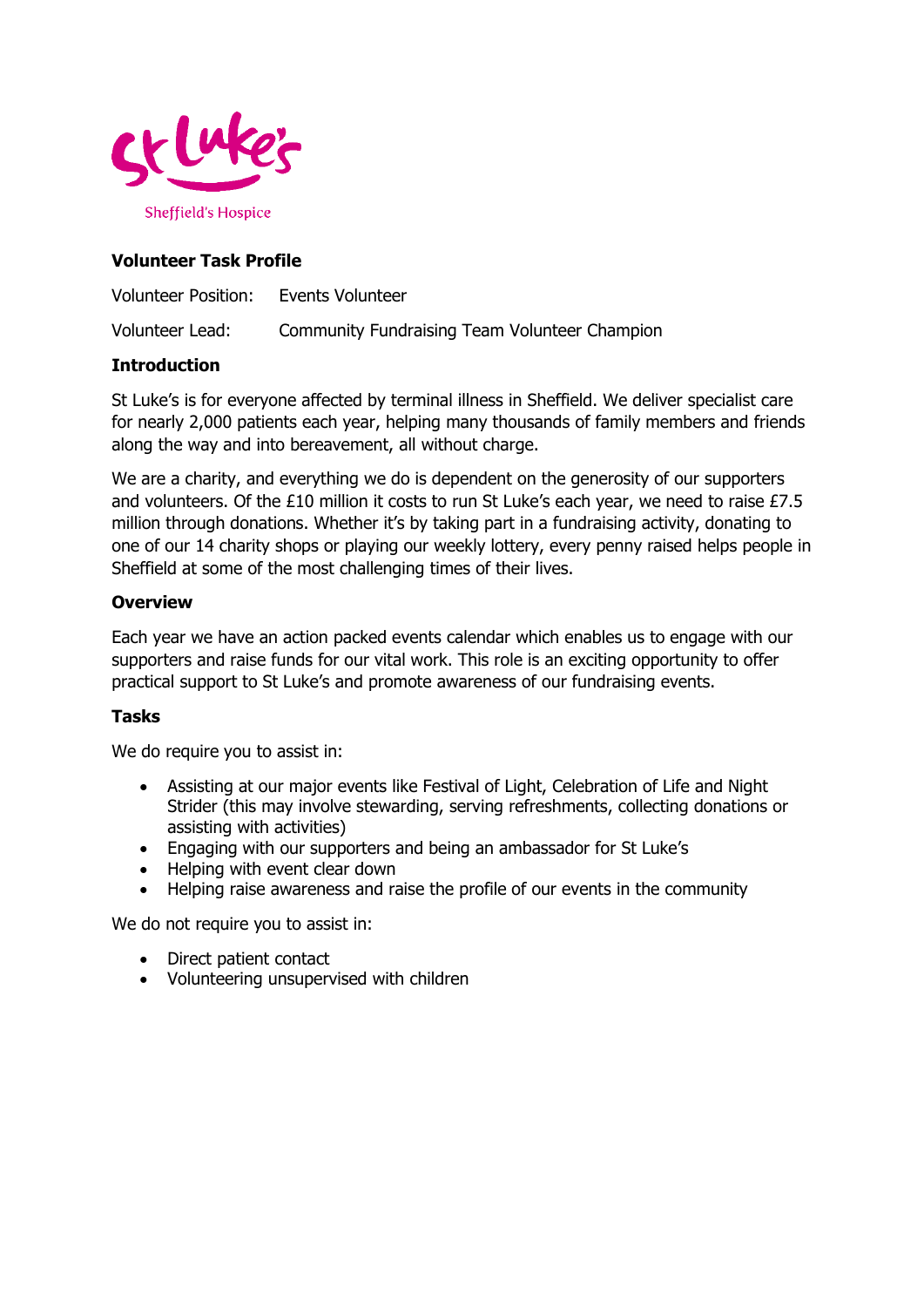

# **Volunteer Task Profile**

Volunteer Position: Events Volunteer Volunteer Lead: Community Fundraising Team Volunteer Champion

# **Introduction**

St Luke's is for everyone affected by terminal illness in Sheffield. We deliver specialist care for nearly 2,000 patients each year, helping many thousands of family members and friends along the way and into bereavement, all without charge.

We are a charity, and everything we do is dependent on the generosity of our supporters and volunteers. Of the £10 million it costs to run St Luke's each year, we need to raise £7.5 million through donations. Whether it's by taking part in a fundraising activity, donating to one of our 14 charity shops or playing our weekly lottery, every penny raised helps people in Sheffield at some of the most challenging times of their lives.

## **Overview**

Each year we have an action packed events calendar which enables us to engage with our supporters and raise funds for our vital work. This role is an exciting opportunity to offer practical support to St Luke's and promote awareness of our fundraising events.

#### **Tasks**

We do require you to assist in:

- Assisting at our major events like Festival of Light, Celebration of Life and Night Strider (this may involve stewarding, serving refreshments, collecting donations or assisting with activities)
- Engaging with our supporters and being an ambassador for St Luke's
- Helping with event clear down
- Helping raise awareness and raise the profile of our events in the community

We do not require you to assist in:

- Direct patient contact
- Volunteering unsupervised with children